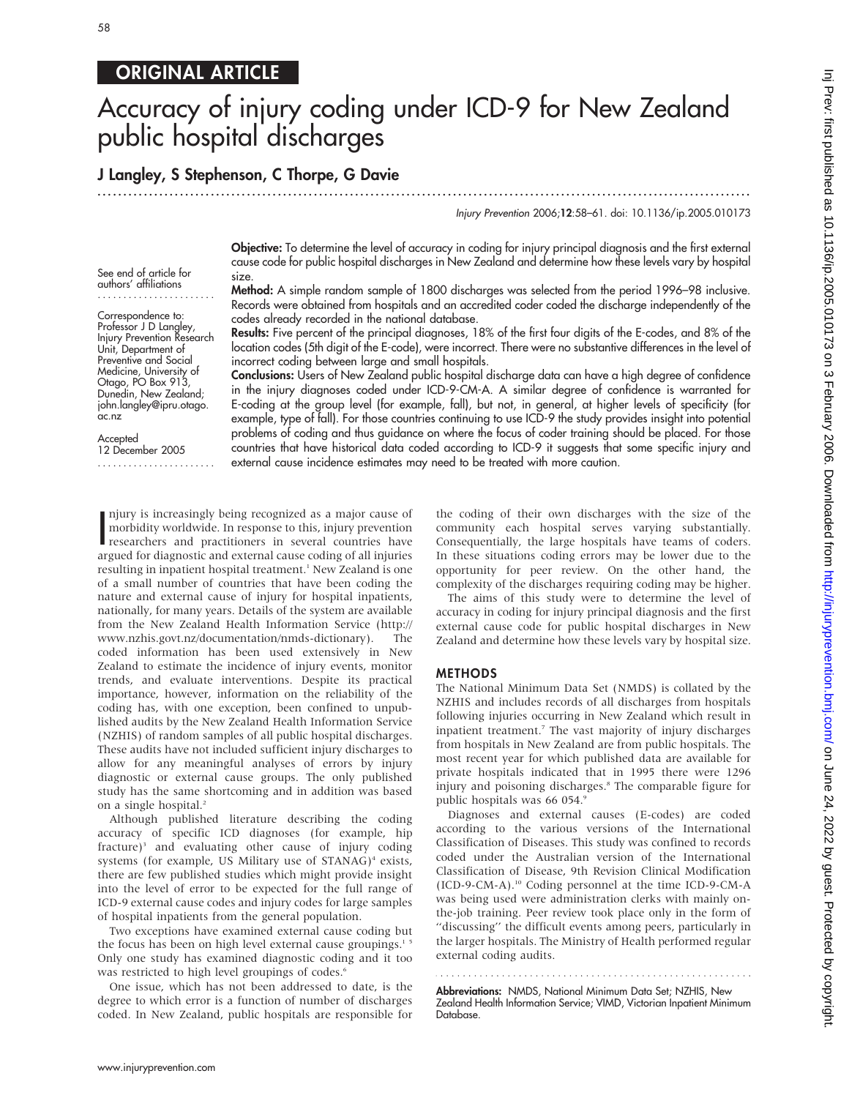## 58

# ORIGINAL ARTICLE

# Accuracy of injury coding under ICD-9 for New Zealand public hospital discharges

J Langley, S Stephenson, C Thorpe, G Davie

.............................................................................................................................. .

#### Injury Prevention 2006;12:58–61. doi: 10.1136/ip.2005.010173

See end of article for authors' affiliations .......................

Correspondence to: Professor J D Langley, Injury Prevention Research Unit, Department of Preventive and Social Medicine, University of Otago, PO Box 913, Dunedin, New Zealand; john.langley@ipru.otago. ac.nz

Accepted

12 December 2005 ....................... Objective: To determine the level of accuracy in coding for injury principal diagnosis and the first external cause code for public hospital discharges in New Zealand and determine how these levels vary by hospital size.

Method: A simple random sample of 1800 discharges was selected from the period 1996–98 inclusive. Records were obtained from hospitals and an accredited coder coded the discharge independently of the codes already recorded in the national database.

Results: Five percent of the principal diagnoses, 18% of the first four digits of the E-codes, and 8% of the location codes (5th digit of the E-code), were incorrect. There were no substantive differences in the level of incorrect coding between large and small hospitals.

Conclusions: Users of New Zealand public hospital discharge data can have a high degree of confidence in the injury diagnoses coded under ICD-9-CM-A. A similar degree of confidence is warranted for E-coding at the group level (for example, fall), but not, in general, at higher levels of specificity (for example, type of fall). For those countries continuing to use ICD-9 the study provides insight into potential problems of coding and thus guidance on where the focus of coder training should be placed. For those countries that have historical data coded according to ICD-9 it suggests that some specific injury and external cause incidence estimates may need to be treated with more caution.

I mury is increasingly being recognized as a major cause of<br>morbidity worldwide. In response to this, injury prevention<br>researchers and practitioners in several countries have<br>general countries have njury is increasingly being recognized as a major cause of morbidity worldwide. In response to this, injury prevention argued for diagnostic and external cause coding of all injuries resulting in inpatient hospital treatment.<sup>1</sup> New Zealand is one of a small number of countries that have been coding the nature and external cause of injury for hospital inpatients, nationally, for many years. Details of the system are available from the New Zealand Health Information Service (http:// www.nzhis.govt.nz/documentation/nmds-dictionary). The coded information has been used extensively in New Zealand to estimate the incidence of injury events, monitor trends, and evaluate interventions. Despite its practical importance, however, information on the reliability of the coding has, with one exception, been confined to unpublished audits by the New Zealand Health Information Service (NZHIS) of random samples of all public hospital discharges. These audits have not included sufficient injury discharges to allow for any meaningful analyses of errors by injury diagnostic or external cause groups. The only published study has the same shortcoming and in addition was based on a single hospital.<sup>2</sup>

Although published literature describing the coding accuracy of specific ICD diagnoses (for example, hip fracture)<sup>3</sup> and evaluating other cause of injury coding systems (for example, US Military use of STANAG)<sup>4</sup> exists, there are few published studies which might provide insight into the level of error to be expected for the full range of ICD-9 external cause codes and injury codes for large samples of hospital inpatients from the general population.

Two exceptions have examined external cause coding but the focus has been on high level external cause groupings.<sup>15</sup> Only one study has examined diagnostic coding and it too was restricted to high level groupings of codes.<sup>6</sup>

One issue, which has not been addressed to date, is the degree to which error is a function of number of discharges coded. In New Zealand, public hospitals are responsible for

the coding of their own discharges with the size of the community each hospital serves varying substantially. Consequentially, the large hospitals have teams of coders. In these situations coding errors may be lower due to the opportunity for peer review. On the other hand, the complexity of the discharges requiring coding may be higher.

The aims of this study were to determine the level of accuracy in coding for injury principal diagnosis and the first external cause code for public hospital discharges in New Zealand and determine how these levels vary by hospital size.

#### METHODS

The National Minimum Data Set (NMDS) is collated by the NZHIS and includes records of all discharges from hospitals following injuries occurring in New Zealand which result in inpatient treatment.7 The vast majority of injury discharges from hospitals in New Zealand are from public hospitals. The most recent year for which published data are available for private hospitals indicated that in 1995 there were 1296 injury and poisoning discharges.8 The comparable figure for public hospitals was 66 054.9

Diagnoses and external causes (E-codes) are coded according to the various versions of the International Classification of Diseases. This study was confined to records coded under the Australian version of the International Classification of Disease, 9th Revision Clinical Modification (ICD-9-CM-A).10 Coding personnel at the time ICD-9-CM-A was being used were administration clerks with mainly onthe-job training. Peer review took place only in the form of ''discussing'' the difficult events among peers, particularly in the larger hospitals. The Ministry of Health performed regular external coding audits.

Abbreviations: NMDS, National Minimum Data Set; NZHIS, New Zealand Health Information Service; VIMD, Victorian Inpatient Minimum Database.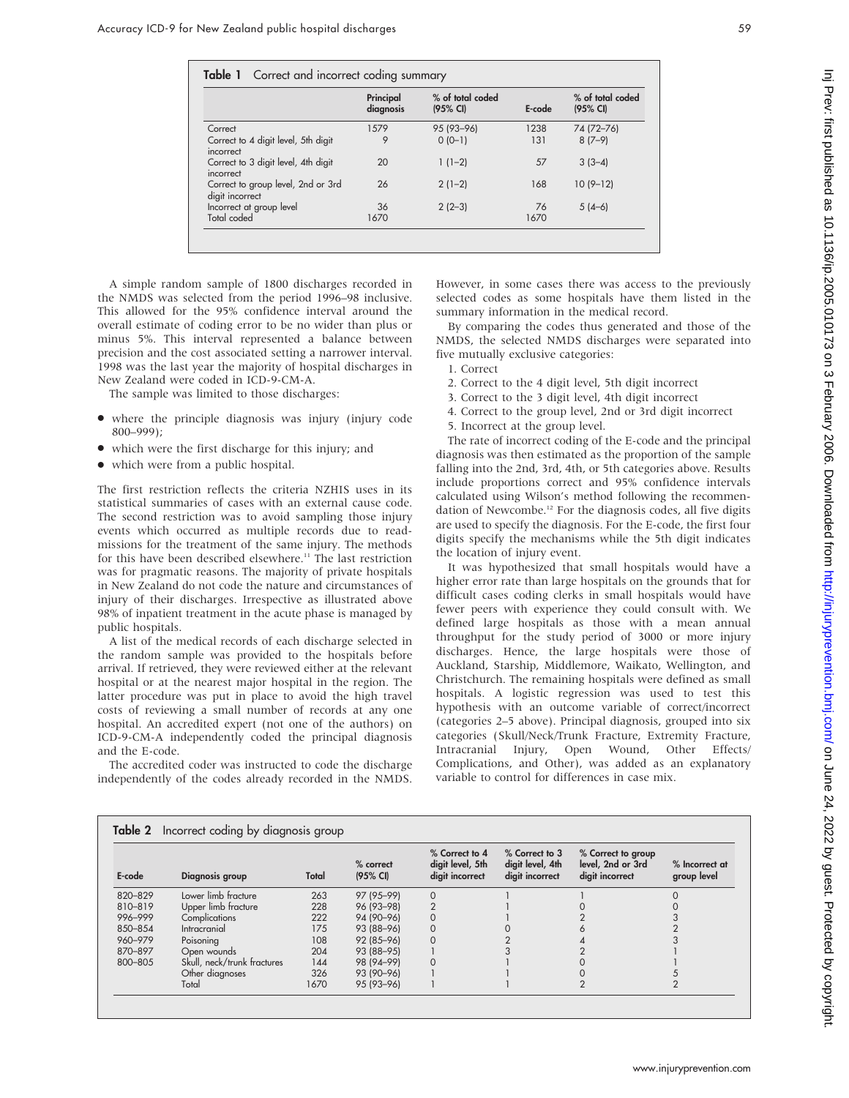|                                                       | Principal<br>diagnosis | % of total coded<br>$(95%$ CI) | E-code | % of total coded<br>(95% CI) |
|-------------------------------------------------------|------------------------|--------------------------------|--------|------------------------------|
| Correct                                               | 1579                   | 95 (93-96)                     | 1238   | 74 (72-76)                   |
| Correct to 4 digit level, 5th digit<br>incorrect      | 9                      | $0(0-1)$                       | 131    | $8(7-9)$                     |
| Correct to 3 digit level, 4th digit<br>incorrect      | 20                     | $1(1-2)$                       | 57     | $3(3-4)$                     |
| Correct to group level, 2nd or 3rd<br>digit incorrect | 26                     | $2(1-2)$                       | 168    | $10(9-12)$                   |
| Incorrect at group level                              | 36                     | $2(2-3)$                       | 76     | $5(4-6)$                     |
| Total coded                                           | 1670                   |                                | 1670   |                              |

A simple random sample of 1800 discharges recorded in the NMDS was selected from the period 1996–98 inclusive. This allowed for the 95% confidence interval around the overall estimate of coding error to be no wider than plus or minus 5%. This interval represented a balance between precision and the cost associated setting a narrower interval. 1998 was the last year the majority of hospital discharges in New Zealand were coded in ICD-9-CM-A.

The sample was limited to those discharges:

- N where the principle diagnosis was injury (injury code 800–999);
- which were the first discharge for this injury; and
- $\bullet$  which were from a public hospital.

The first restriction reflects the criteria NZHIS uses in its statistical summaries of cases with an external cause code. The second restriction was to avoid sampling those injury events which occurred as multiple records due to readmissions for the treatment of the same injury. The methods for this have been described elsewhere.<sup>11</sup> The last restriction was for pragmatic reasons. The majority of private hospitals in New Zealand do not code the nature and circumstances of injury of their discharges. Irrespective as illustrated above 98% of inpatient treatment in the acute phase is managed by public hospitals.

A list of the medical records of each discharge selected in the random sample was provided to the hospitals before arrival. If retrieved, they were reviewed either at the relevant hospital or at the nearest major hospital in the region. The latter procedure was put in place to avoid the high travel costs of reviewing a small number of records at any one hospital. An accredited expert (not one of the authors) on ICD-9-CM-A independently coded the principal diagnosis and the E-code.

The accredited coder was instructed to code the discharge independently of the codes already recorded in the NMDS. However, in some cases there was access to the previously selected codes as some hospitals have them listed in the summary information in the medical record.

By comparing the codes thus generated and those of the NMDS, the selected NMDS discharges were separated into five mutually exclusive categories:

- 1. Correct
- 2. Correct to the 4 digit level, 5th digit incorrect
- 3. Correct to the 3 digit level, 4th digit incorrect
- 4. Correct to the group level, 2nd or 3rd digit incorrect
- 5. Incorrect at the group level.

The rate of incorrect coding of the E-code and the principal diagnosis was then estimated as the proportion of the sample falling into the 2nd, 3rd, 4th, or 5th categories above. Results include proportions correct and 95% confidence intervals calculated using Wilson's method following the recommendation of Newcombe.<sup>12</sup> For the diagnosis codes, all five digits are used to specify the diagnosis. For the E-code, the first four digits specify the mechanisms while the 5th digit indicates the location of injury event.

It was hypothesized that small hospitals would have a higher error rate than large hospitals on the grounds that for difficult cases coding clerks in small hospitals would have fewer peers with experience they could consult with. We defined large hospitals as those with a mean annual throughput for the study period of 3000 or more injury discharges. Hence, the large hospitals were those of Auckland, Starship, Middlemore, Waikato, Wellington, and Christchurch. The remaining hospitals were defined as small hospitals. A logistic regression was used to test this hypothesis with an outcome variable of correct/incorrect (categories 2–5 above). Principal diagnosis, grouped into six categories (Skull/Neck/Trunk Fracture, Extremity Fracture, Intracranial Injury, Open Wound, Other Effects/ Complications, and Other), was added as an explanatory variable to control for differences in case mix.

| E-code  | Diagnosis group             | Total | % correct<br>(95% CI) | % Correct to 4<br>digit level, 5th<br>digit incorrect | % Correct to 3<br>digit level, 4th<br>digit incorrect | % Correct to group<br>level, 2nd or 3rd<br>digit incorrect | % Incorrect at<br>group level |
|---------|-----------------------------|-------|-----------------------|-------------------------------------------------------|-------------------------------------------------------|------------------------------------------------------------|-------------------------------|
| 820-829 | Lower limb fracture         | 263   | 97 (95-99)            | $\mathbf 0$                                           |                                                       |                                                            |                               |
| 810-819 | Upper limb fracture         | 228   | 96 (93-98)            | $\overline{2}$                                        |                                                       |                                                            |                               |
| 996-999 | Complications               | 222   | 94 (90-96)            | 0                                                     |                                                       |                                                            |                               |
| 850-854 | Intracranial                | 175   | 93 (88-96)            | $\Omega$                                              |                                                       |                                                            |                               |
| 960-979 | Poisoning                   | 108   | 92 (85-96)            | $\Omega$                                              |                                                       |                                                            |                               |
| 870-897 | Open wounds                 | 204   | 93 (88-95)            |                                                       |                                                       |                                                            |                               |
| 800-805 | Skull, neck/trunk fractures | 144   | 98 (94-99)            | $\mathbf 0$                                           |                                                       |                                                            |                               |
|         | Other diagnoses             | 326   | 93 (90-96)            |                                                       |                                                       |                                                            |                               |
|         | Total                       | 1670  | 95 (93-96)            |                                                       |                                                       |                                                            |                               |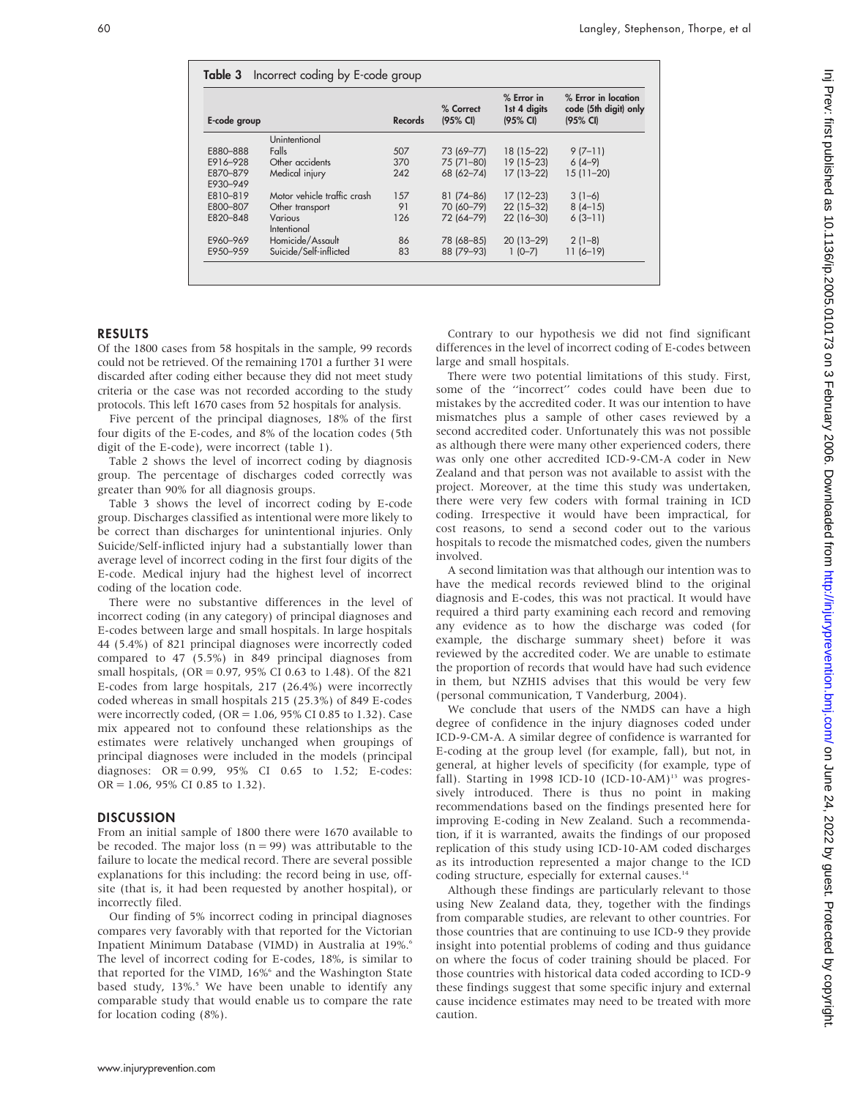| E-code group |                             | Records | % Correct<br>(95% CI) | $%$ Error in<br>1st 4 digits<br>$(95%$ CI) | % Error in location<br>code (5th digit) only<br>$(95%$ CI) |
|--------------|-----------------------------|---------|-----------------------|--------------------------------------------|------------------------------------------------------------|
|              | Unintentional               |         |                       |                                            |                                                            |
| E880-888     | Falls                       | 507     | 73 (69–77)            | $18(15-22)$                                | $9(7-11)$                                                  |
| E916-928     | Other accidents             | 370     | 75 (71-80)            | $19(15 - 23)$                              | $6(4-9)$                                                   |
| E870-879     | Medical injury              | 242     | 68 (62-74)            | $17(13-22)$                                | $15(11-20)$                                                |
| E930-949     |                             |         |                       |                                            |                                                            |
| E810-819     | Motor vehicle traffic crash | 157     | 81 (74-86)            | $17(12 - 23)$                              | $3(1-6)$                                                   |
| E800-807     | Other transport             | 91      | 70 (60-79)            | $22(15-32)$                                | $8(4-15)$                                                  |
| E820-848     | Various<br>Intentional      | 126     | 72 (64-79)            | 22 (16-30)                                 | $6(3-11)$                                                  |
| E960-969     | Homicide/Assault            | 86      | 78 (68-85)            | 20 (13-29)                                 | $2(1-8)$                                                   |
| E950-959     | Suicide/Self-inflicted      | 83      | 88 (79-93)            | $1(0-7)$                                   | $11(6-19)$                                                 |

#### RESULTS

Of the 1800 cases from 58 hospitals in the sample, 99 records could not be retrieved. Of the remaining 1701 a further 31 were discarded after coding either because they did not meet study criteria or the case was not recorded according to the study protocols. This left 1670 cases from 52 hospitals for analysis.

Five percent of the principal diagnoses, 18% of the first four digits of the E-codes, and 8% of the location codes (5th digit of the E-code), were incorrect (table 1).

Table 2 shows the level of incorrect coding by diagnosis group. The percentage of discharges coded correctly was greater than 90% for all diagnosis groups.

Table 3 shows the level of incorrect coding by E-code group. Discharges classified as intentional were more likely to be correct than discharges for unintentional injuries. Only Suicide/Self-inflicted injury had a substantially lower than average level of incorrect coding in the first four digits of the E-code. Medical injury had the highest level of incorrect coding of the location code.

There were no substantive differences in the level of incorrect coding (in any category) of principal diagnoses and E-codes between large and small hospitals. In large hospitals 44 (5.4%) of 821 principal diagnoses were incorrectly coded compared to 47 (5.5%) in 849 principal diagnoses from small hospitals, (OR = 0.97, 95% CI 0.63 to 1.48). Of the 821 E-codes from large hospitals, 217 (26.4%) were incorrectly coded whereas in small hospitals 215 (25.3%) of 849 E-codes were incorrectly coded, (OR =  $1.06$ , 95% CI 0.85 to 1.32). Case mix appeared not to confound these relationships as the estimates were relatively unchanged when groupings of principal diagnoses were included in the models (principal diagnoses: OR = 0.99, 95% CI 0.65 to 1.52; E-codes: OR = 1.06, 95% CI 0.85 to 1.32).

#### DISCUSSION

From an initial sample of 1800 there were 1670 available to be recoded. The major loss ( $n = 99$ ) was attributable to the failure to locate the medical record. There are several possible explanations for this including: the record being in use, offsite (that is, it had been requested by another hospital), or incorrectly filed.

Our finding of 5% incorrect coding in principal diagnoses compares very favorably with that reported for the Victorian Inpatient Minimum Database (VIMD) in Australia at 19%.<sup>6</sup> The level of incorrect coding for E-codes, 18%, is similar to that reported for the VIMD, 16% and the Washington State based study, 13%.<sup>5</sup> We have been unable to identify any comparable study that would enable us to compare the rate for location coding (8%).

Contrary to our hypothesis we did not find significant differences in the level of incorrect coding of E-codes between large and small hospitals.

There were two potential limitations of this study. First, some of the ''incorrect'' codes could have been due to mistakes by the accredited coder. It was our intention to have mismatches plus a sample of other cases reviewed by a second accredited coder. Unfortunately this was not possible as although there were many other experienced coders, there was only one other accredited ICD-9-CM-A coder in New Zealand and that person was not available to assist with the project. Moreover, at the time this study was undertaken, there were very few coders with formal training in ICD coding. Irrespective it would have been impractical, for cost reasons, to send a second coder out to the various hospitals to recode the mismatched codes, given the numbers involved.

A second limitation was that although our intention was to have the medical records reviewed blind to the original diagnosis and E-codes, this was not practical. It would have required a third party examining each record and removing any evidence as to how the discharge was coded (for example, the discharge summary sheet) before it was reviewed by the accredited coder. We are unable to estimate the proportion of records that would have had such evidence in them, but NZHIS advises that this would be very few (personal communication, T Vanderburg, 2004).

We conclude that users of the NMDS can have a high degree of confidence in the injury diagnoses coded under ICD-9-CM-A. A similar degree of confidence is warranted for E-coding at the group level (for example, fall), but not, in general, at higher levels of specificity (for example, type of fall). Starting in 1998 ICD-10 (ICD-10-AM)<sup>13</sup> was progressively introduced. There is thus no point in making recommendations based on the findings presented here for improving E-coding in New Zealand. Such a recommendation, if it is warranted, awaits the findings of our proposed replication of this study using ICD-10-AM coded discharges as its introduction represented a major change to the ICD coding structure, especially for external causes.<sup>14</sup>

Although these findings are particularly relevant to those using New Zealand data, they, together with the findings from comparable studies, are relevant to other countries. For those countries that are continuing to use ICD-9 they provide insight into potential problems of coding and thus guidance on where the focus of coder training should be placed. For those countries with historical data coded according to ICD-9 these findings suggest that some specific injury and external cause incidence estimates may need to be treated with more caution.